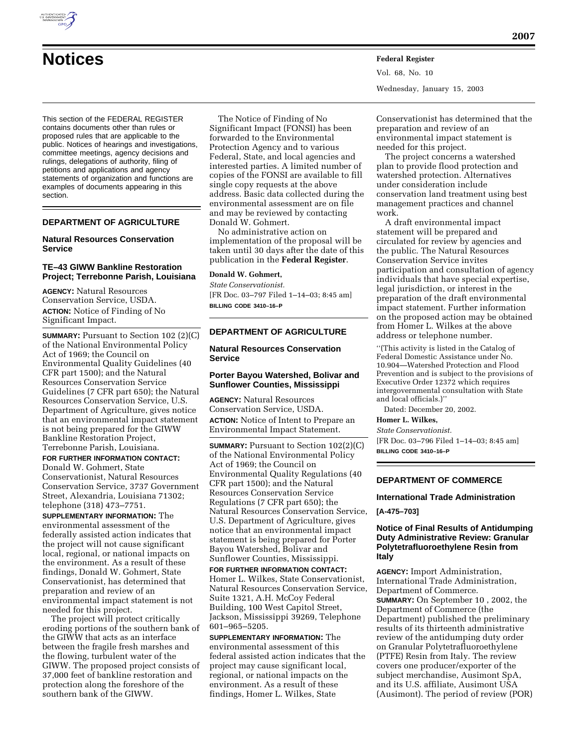

# **Notices Federal Register**

This section of the FEDERAL REGISTER contains documents other than rules or proposed rules that are applicable to the public. Notices of hearings and investigations, committee meetings, agency decisions and rulings, delegations of authority, filing of petitions and applications and agency statements of organization and functions are examples of documents appearing in this section.

# **DEPARTMENT OF AGRICULTURE**

# **Natural Resources Conservation Service**

# **TE–43 GIWW Bankline Restoration Project; Terrebonne Parish, Louisiana**

**AGENCY:** Natural Resources Conservation Service, USDA. **ACTION:** Notice of Finding of No Significant Impact.

**SUMMARY:** Pursuant to Section 102 (2)(C) of the National Environmental Policy Act of 1969; the Council on Environmental Quality Guidelines (40 CFR part 1500); and the Natural Resources Conservation Service Guidelines (7 CFR part 650); the Natural Resources Conservation Service, U.S. Department of Agriculture, gives notice that an environmental impact statement is not being prepared for the GIWW Bankline Restoration Project, Terrebonne Parish, Louisiana.

**FOR FURTHER INFORMATION CONTACT:** Donald W. Gohmert, State Conservationist, Natural Resources Conservation Service, 3737 Government Street, Alexandria, Louisiana 71302; telephone (318) 473–7751.

**SUPPLEMENTARY INFORMATION:** The environmental assessment of the federally assisted action indicates that the project will not cause significant local, regional, or national impacts on the environment. As a result of these findings, Donald W. Gohmert, State Conservationist, has determined that preparation and review of an environmental impact statement is not needed for this project.

The project will protect critically eroding portions of the southern bank of the GIWW that acts as an interface between the fragile fresh marshes and the flowing, turbulent water of the GIWW. The proposed project consists of 37,000 feet of bankline restoration and protection along the foreshore of the southern bank of the GIWW.

The Notice of Finding of No Significant Impact (FONSI) has been forwarded to the Environmental Protection Agency and to various Federal, State, and local agencies and interested parties. A limited number of copies of the FONSI are available to fill single copy requests at the above address. Basic data collected during the environmental assessment are on file and may be reviewed by contacting Donald W. Gohmert.

No administrative action on implementation of the proposal will be taken until 30 days after the date of this publication in the **Federal Register**.

## **Donald W. Gohmert,**

*State Conservationist.* [FR Doc. 03–797 Filed 1–14–03; 8:45 am] **BILLING CODE 3410–16–P**

# **DEPARTMENT OF AGRICULTURE**

# **Natural Resources Conservation Service**

## **Porter Bayou Watershed, Bolivar and Sunflower Counties, Mississippi**

**AGENCY:** Natural Resources Conservation Service, USDA. **ACTION:** Notice of Intent to Prepare an Environmental Impact Statement.

**SUMMARY:** Pursuant to Section 102(2)(C) of the National Environmental Policy Act of 1969; the Council on Environmental Quality Regulations (40 CFR part 1500); and the Natural Resources Conservation Service Regulations (7 CFR part 650); the Natural Resources Conservation Service, U.S. Department of Agriculture, gives notice that an environmental impact statement is being prepared for Porter Bayou Watershed, Bolivar and Sunflower Counties, Mississippi.

**FOR FURTHER INFORMATION CONTACT:** Homer L. Wilkes, State Conservationist, Natural Resources Conservation Service, Suite 1321, A.H. McCoy Federal Building, 100 West Capitol Street, Jackson, Mississippi 39269, Telephone 601–965–5205.

**SUPPLEMENTARY INFORMATION:** The environmental assessment of this federal assisted action indicates that the project may cause significant local, regional, or national impacts on the environment. As a result of these findings, Homer L. Wilkes, State

Vol. 68, No. 10 Wednesday, January 15, 2003

Conservationist has determined that the preparation and review of an environmental impact statement is needed for this project.

The project concerns a watershed plan to provide flood protection and watershed protection. Alternatives under consideration include conservation land treatment using best management practices and channel work.

A draft environmental impact statement will be prepared and circulated for review by agencies and the public. The Natural Resources Conservation Service invites participation and consultation of agency individuals that have special expertise, legal jurisdiction, or interest in the preparation of the draft environmental impact statement. Further information on the proposed action may be obtained from Homer L. Wilkes at the above address or telephone number.

''(This activity is listed in the Catalog of Federal Domestic Assistance under No. 10.904—Watershed Protection and Flood Prevention and is subject to the provisions of Executive Order 12372 which requires intergovernmental consultation with State and local officials.)''

Dated: December 20, 2002.

# **Homer L. Wilkes,**

*State Conservationist.*

[FR Doc. 03–796 Filed 1–14–03; 8:45 am] **BILLING CODE 3410–16–P**

# **DEPARTMENT OF COMMERCE**

## **International Trade Administration**

**[A-475–703]**

# **Notice of Final Results of Antidumping Duty Administrative Review: Granular Polytetrafluoroethylene Resin from Italy**

**AGENCY:** Import Administration, International Trade Administration, Department of Commerce. **SUMMARY:** On September 10 , 2002, the Department of Commerce (the Department) published the preliminary results of its thirteenth administrative review of the antidumping duty order on Granular Polytetrafluoroethylene (PTFE) Resin from Italy. The review covers one producer/exporter of the subject merchandise, Ausimont SpA, and its U.S. affiliate, Ausimont USA (Ausimont). The period of review (POR)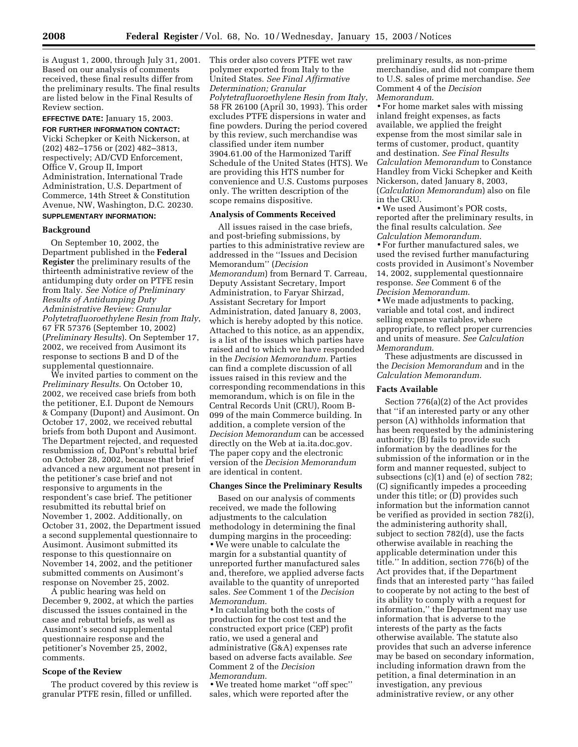is August 1, 2000, through July 31, 2001. Based on our analysis of comments received, these final results differ from the preliminary results. The final results are listed below in the Final Results of Review section.

**EFFECTIVE DATE:** January 15, 2003.

**FOR FURTHER INFORMATION CONTACT:** Vicki Schepker or Keith Nickerson, at (202) 482–1756 or (202) 482–3813, respectively; AD/CVD Enforcement, Office V, Group II, Import Administration, International Trade Administration, U.S. Department of Commerce, 14th Street & Constitution Avenue, NW, Washington, D.C. 20230. **SUPPLEMENTARY INFORMATION:**

# **Background**

On September 10, 2002, the Department published in the **Federal Register** the preliminary results of the thirteenth administrative review of the antidumping duty order on PTFE resin from Italy. *See Notice of Preliminary Results of Antidumping Duty Administrative Review: Granular Polytetrafluoroethylene Resin from Italy*, 67 FR 57376 (September 10, 2002) (*Preliminary Results*). On September 17, 2002, we received from Ausimont its response to sections B and D of the supplemental questionnaire.

We invited parties to comment on the *Preliminary Results*. On October 10, 2002, we received case briefs from both the petitioner, E.I. Dupont de Nemours & Company (Dupont) and Ausimont. On October 17, 2002, we received rebuttal briefs from both Dupont and Ausimont. The Department rejected, and requested resubmission of, DuPont's rebuttal brief on October 28, 2002, because that brief advanced a new argument not present in the petitioner's case brief and not responsive to arguments in the respondent's case brief. The petitioner resubmitted its rebuttal brief on November 1, 2002. Additionally, on October 31, 2002, the Department issued a second supplemental questionnaire to Ausimont. Ausimont submitted its response to this questionnaire on November 14, 2002, and the petitioner submitted comments on Ausimont's response on November 25, 2002.

A public hearing was held on December 9, 2002, at which the parties discussed the issues contained in the case and rebuttal briefs, as well as Ausimont's second supplemental questionnaire response and the petitioner's November 25, 2002, comments.

#### **Scope of the Review**

The product covered by this review is granular PTFE resin, filled or unfilled.

This order also covers PTFE wet raw polymer exported from Italy to the United States. *See Final Affirmative Determination; Granular Polytetrafluoroethylene Resin from Italy*, 58 FR 26100 (April 30, 1993). This order excludes PTFE dispersions in water and fine powders. During the period covered by this review, such merchandise was classified under item number 3904.61.00 of the Harmonized Tariff Schedule of the United States (HTS). We are providing this HTS number for convenience and U.S. Customs purposes only. The written description of the scope remains dispositive.

#### **Analysis of Comments Received**

All issues raised in the case briefs, and post-briefing submissions, by parties to this administrative review are addressed in the ''Issues and Decision Memorandum'' (*Decision Memorandum*) from Bernard T. Carreau, Deputy Assistant Secretary, Import Administration, to Faryar Shirzad, Assistant Secretary for Import Administration, dated January 8, 2003, which is hereby adopted by this notice. Attached to this notice, as an appendix, is a list of the issues which parties have raised and to which we have responded in the *Decision Memorandum*. Parties can find a complete discussion of all issues raised in this review and the corresponding recommendations in this memorandum, which is on file in the Central Records Unit (CRU), Room B-099 of the main Commerce building. In addition, a complete version of the *Decision Memorandum* can be accessed directly on the Web at ia.ita.doc.gov. The paper copy and the electronic version of the *Decision Memorandum* are identical in content.

# **Changes Since the Preliminary Results**

Based on our analysis of comments received, we made the following adjustments to the calculation methodology in determining the final dumping margins in the proceeding: • We were unable to calculate the margin for a substantial quantity of unreported further manufactured sales and, therefore, we applied adverse facts available to the quantity of unreported sales. *See* Comment 1 of the *Decision Memorandum*.

• In calculating both the costs of production for the cost test and the constructed export price (CEP) profit ratio, we used a general and administrative (G&A) expenses rate based on adverse facts available. *See* Comment 2 of the *Decision Memorandum*.

• We treated home market ''off spec'' sales, which were reported after the

preliminary results, as non-prime merchandise, and did not compare them to U.S. sales of prime merchandise. *See* Comment 4 of the *Decision Memorandum*.

• For home market sales with missing inland freight expenses, as facts available, we applied the freight expense from the most similar sale in terms of customer, product, quantity and destination. *See Final Results Calculation Memorandum* to Constance Handley from Vicki Schepker and Keith Nickerson, dated January 8, 2003, (*Calculation Memorandum*) also on file in the CRU.

• We used Ausimont's POR costs, reported after the preliminary results, in the final results calculation. *See Calculation Memorandum*.

• For further manufactured sales, we used the revised further manufacturing costs provided in Ausimont's November 14, 2002, supplemental questionnaire response. *See* Comment 6 of the *Decision Memorandum*.

• We made adjustments to packing, variable and total cost, and indirect selling expense variables, where appropriate, to reflect proper currencies and units of measure. *See Calculation Memorandum*.

These adjustments are discussed in the *Decision Memorandum* and in the *Calculation Memorandum*.

# **Facts Available**

Section 776(a)(2) of the Act provides that ''if an interested party or any other person (A) withholds information that has been requested by the administering authority; (B) fails to provide such information by the deadlines for the submission of the information or in the form and manner requested, subject to subsections (c)(1) and (e) of section 782; (C) significantly impedes a proceeding under this title; or (D) provides such information but the information cannot be verified as provided in section 782(i), the administering authority shall, subject to section 782(d), use the facts otherwise available in reaching the applicable determination under this title.'' In addition, section 776(b) of the Act provides that, if the Department finds that an interested party ''has failed to cooperate by not acting to the best of its ability to comply with a request for information,'' the Department may use information that is adverse to the interests of the party as the facts otherwise available. The statute also provides that such an adverse inference may be based on secondary information, including information drawn from the petition, a final determination in an investigation, any previous administrative review, or any other